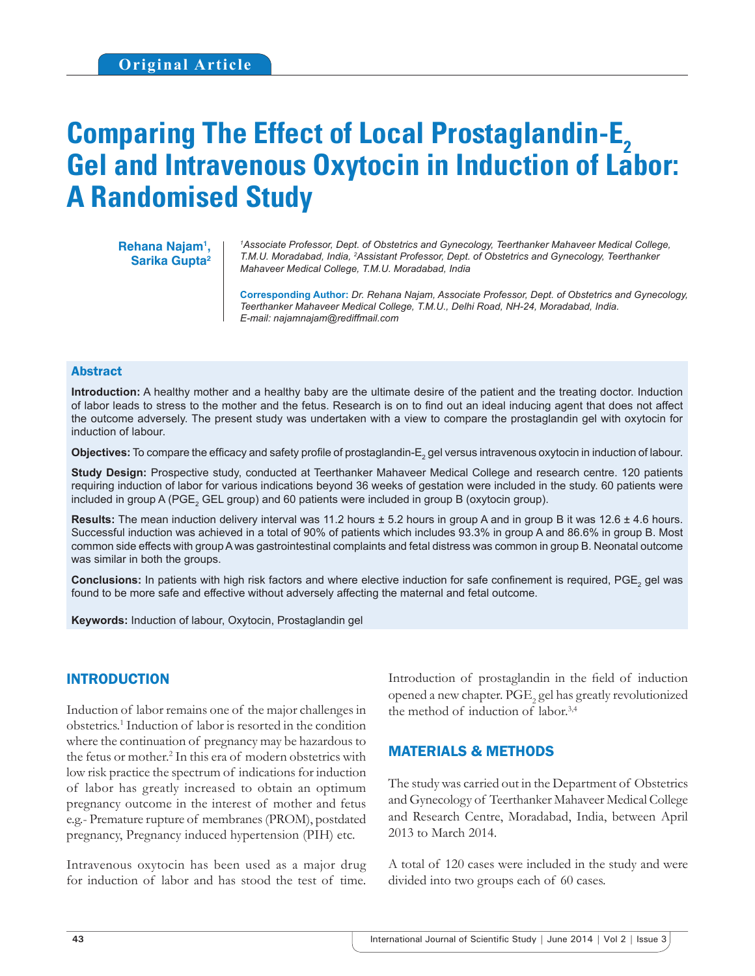# **Comparing The Effect of Local Prostaglandin-E<sub>2</sub> Gel and Intravenous Oxytocin in Induction of Labor: A Randomised Study**

**Rehana Najam1 , Sarika Gupta2**

*1 Associate Professor, Dept. of Obstetrics and Gynecology, Teerthanker Mahaveer Medical College, T.M.U. Moradabad, India, 2 Assistant Professor, Dept. of Obstetrics and Gynecology, Teerthanker Mahaveer Medical College, T.M.U. Moradabad, India*

**Corresponding Author:** *Dr. Rehana Najam, Associate Professor, Dept. of Obstetrics and Gynecology, Teerthanker Mahaveer Medical College, T.M.U., Delhi Road, NH-24, Moradabad, India. E-mail: najamnajam@rediffmail.com*

#### Abstract

**Introduction:** A healthy mother and a healthy baby are the ultimate desire of the patient and the treating doctor. Induction of labor leads to stress to the mother and the fetus. Research is on to find out an ideal inducing agent that does not affect the outcome adversely. The present study was undertaken with a view to compare the prostaglandin gel with oxytocin for induction of labour.

 $\bm{\mathsf{Objectives}}$ : To compare the efficacy and safety profile of prostaglandin- $\bm{\mathsf{E}}_2$  gel versus intravenous oxytocin in induction of labour.

**Study Design:** Prospective study, conducted at Teerthanker Mahaveer Medical College and research centre. 120 patients requiring induction of labor for various indications beyond 36 weeks of gestation were included in the study. 60 patients were included in group A (PGE<sub>2</sub> GEL group) and 60 patients were included in group B (oxytocin group).

**Results:** The mean induction delivery interval was 11.2 hours ± 5.2 hours in group A and in group B it was 12.6 ± 4.6 hours. Successful induction was achieved in a total of 90% of patients which includes 93.3% in group A and 86.6% in group B. Most common side effects with group A was gastrointestinal complaints and fetal distress was common in group B. Neonatal outcome was similar in both the groups.

Conclusions: In patients with high risk factors and where elective induction for safe confinement is required, PGE<sub>2</sub> gel was found to be more safe and effective without adversely affecting the maternal and fetal outcome.

**Keywords:** Induction of labour, Oxytocin, Prostaglandin gel

#### INTRODUCTION

Induction of labor remains one of the major challenges in obstetrics.1 Induction of labor is resorted in the condition where the continuation of pregnancy may be hazardous to the fetus or mother.<sup>2</sup> In this era of modern obstetrics with low risk practice the spectrum of indications for induction of labor has greatly increased to obtain an optimum pregnancy outcome in the interest of mother and fetus e.g.- Premature rupture of membranes (PROM), postdated pregnancy, Pregnancy induced hypertension (PIH) etc.

Intravenous oxytocin has been used as a major drug for induction of labor and has stood the test of time.

Introduction of prostaglandin in the field of induction opened a new chapter.  $\mathrm{PGE}_2$  gel has greatly revolutionized the method of induction of labor.<sup>3,4</sup>

#### MATERIALS & METHODS

The study was carried out in the Department of Obstetrics and Gynecology of Teerthanker Mahaveer Medical College and Research Centre, Moradabad, India, between April 2013 to March 2014.

A total of 120 cases were included in the study and were divided into two groups each of 60 cases.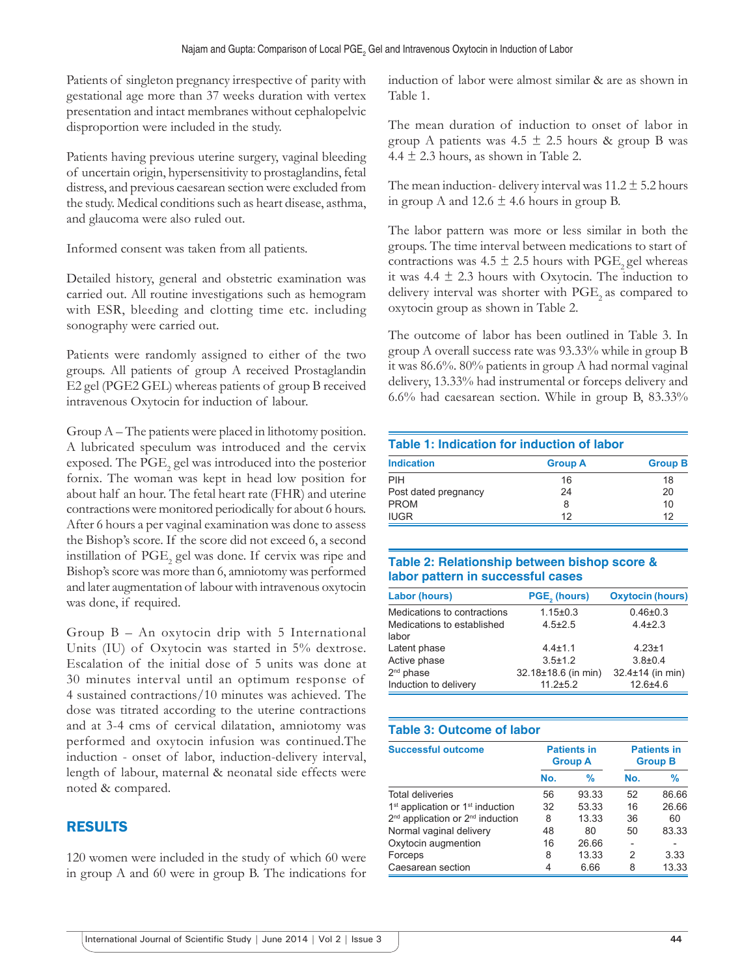Patients of singleton pregnancy irrespective of parity with gestational age more than 37 weeks duration with vertex presentation and intact membranes without cephalopelvic disproportion were included in the study.

Patients having previous uterine surgery, vaginal bleeding of uncertain origin, hypersensitivity to prostaglandins, fetal distress, and previous caesarean section were excluded from the study. Medical conditions such as heart disease, asthma, and glaucoma were also ruled out.

Informed consent was taken from all patients.

Detailed history, general and obstetric examination was carried out. All routine investigations such as hemogram with ESR, bleeding and clotting time etc. including sonography were carried out.

Patients were randomly assigned to either of the two groups. All patients of group A received Prostaglandin E2 gel (PGE2 GEL) whereas patients of group B received intravenous Oxytocin for induction of labour.

Group A – The patients were placed in lithotomy position. A lubricated speculum was introduced and the cervix exposed. The  $\mathrm{PGE}_2$  gel was introduced into the posterior fornix. The woman was kept in head low position for about half an hour. The fetal heart rate (FHR) and uterine contractions were monitored periodically for about 6 hours. After 6 hours a per vaginal examination was done to assess the Bishop's score. If the score did not exceed 6, a second instillation of  $\mathrm{PGE}_2$  gel was done. If cervix was ripe and Bishop's score was more than 6, amniotomy was performed and later augmentation of labour with intravenous oxytocin was done, if required.

Group B – An oxytocin drip with 5 International Units (IU) of Oxytocin was started in 5% dextrose. Escalation of the initial dose of 5 units was done at 30 minutes interval until an optimum response of 4 sustained contractions/10 minutes was achieved. The dose was titrated according to the uterine contractions and at 3-4 cms of cervical dilatation, amniotomy was performed and oxytocin infusion was continued.The induction - onset of labor, induction-delivery interval, length of labour, maternal & neonatal side effects were noted & compared.

## RESULTS

120 women were included in the study of which 60 were in group A and 60 were in group B. The indications for induction of labor were almost similar & are as shown in Table 1.

The mean duration of induction to onset of labor in group A patients was  $4.5 \pm 2.5$  hours & group B was 4.4  $\pm$  2.3 hours, as shown in Table 2.

The mean induction- delivery interval was  $11.2 \pm 5.2$  hours in group A and  $12.6 \pm 4.6$  hours in group B.

The labor pattern was more or less similar in both the groups. The time interval between medications to start of contractions was 4.5  $\pm$  2.5 hours with PGE<sub>2</sub> gel whereas it was  $4.4 \pm 2.3$  hours with Oxytocin. The induction to delivery interval was shorter with  $PGE$ <sub>2</sub> as compared to oxytocin group as shown in Table 2.

The outcome of labor has been outlined in Table 3. In group A overall success rate was 93.33% while in group B it was 86.6%. 80% patients in group A had normal vaginal delivery, 13.33% had instrumental or forceps delivery and 6.6% had caesarean section. While in group B, 83.33%

| Table 1: Indication for induction of labor |                |                |  |
|--------------------------------------------|----------------|----------------|--|
| <b>Indication</b>                          | <b>Group A</b> | <b>Group B</b> |  |
| PIH                                        | 16             | 18             |  |
| Post dated pregnancy                       | 24             | 20             |  |
| <b>PROM</b>                                | 8              | 10             |  |
| <b>IUGR</b>                                | 12             | 12             |  |

#### **Table 2: Relationship between bishop score & labor pattern in successful cases**

| <b>Labor (hours)</b>                | PGE <sub>s</sub> (hours) | <b>Oxytocin (hours)</b> |
|-------------------------------------|--------------------------|-------------------------|
| Medications to contractions         | $1.15 \pm 0.3$           | $0.46 + 0.3$            |
| Medications to established<br>labor | $4.5 \pm 2.5$            | $4.4 \pm 2.3$           |
| Latent phase                        | $4.4 \pm 1.1$            | $4.23 \pm 1$            |
| Active phase                        | $3.5 \pm 1.2$            | $3.8 + 0.4$             |
| 2 <sup>nd</sup> phase               | 32.18±18.6 (in min)      | $32.4 \pm 14$ (in min)  |
| Induction to delivery               | $11.2 + 5.2$             | $12.6 + 4.6$            |

### **Table 3: Outcome of labor**

| <b>Successful outcome</b>                                |     | <b>Patients in</b><br><b>Group A</b> | <b>Patients in</b><br><b>Group B</b> |               |
|----------------------------------------------------------|-----|--------------------------------------|--------------------------------------|---------------|
|                                                          | No. | %                                    | No.                                  | $\frac{9}{6}$ |
| <b>Total deliveries</b>                                  | 56  | 93.33                                | 52                                   | 86.66         |
| 1 <sup>st</sup> application or 1 <sup>st</sup> induction | 32  | 53.33                                | 16                                   | 26.66         |
| 2 <sup>nd</sup> application or 2 <sup>nd</sup> induction | 8   | 13.33                                | 36                                   | 60            |
| Normal vaginal delivery                                  | 48  | 80                                   | 50                                   | 83.33         |
| Oxytocin augmention                                      | 16  | 26.66                                |                                      |               |
| Forceps                                                  | 8   | 13.33                                | 2                                    | 3.33          |
| Caesarean section                                        | 4   | 6.66                                 | 8                                    | 13.33         |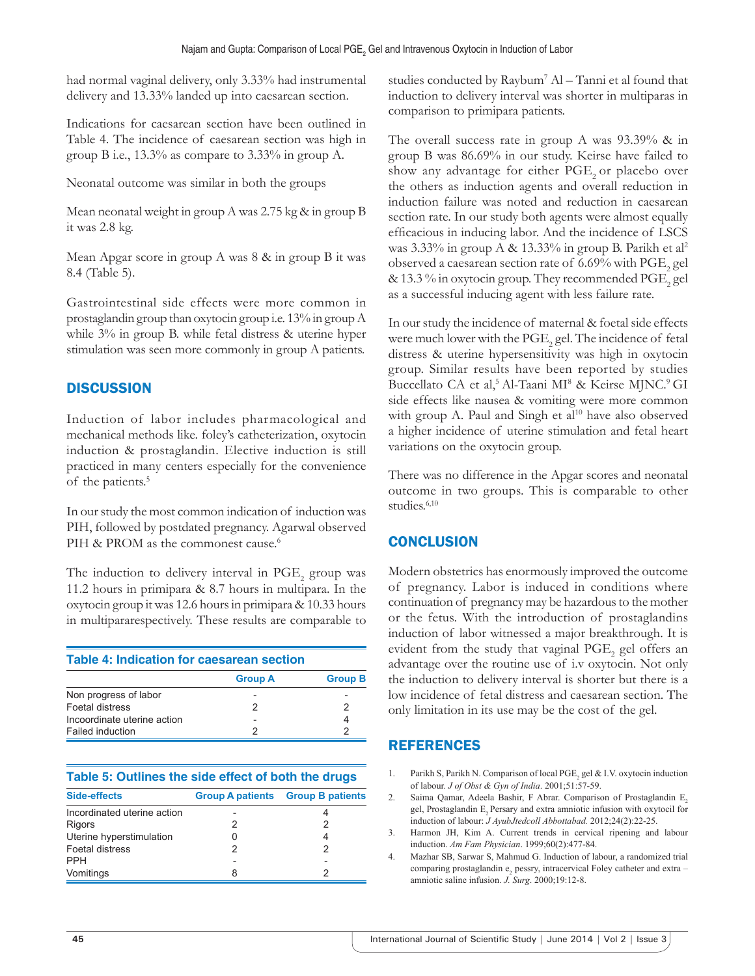had normal vaginal delivery, only 3.33% had instrumental delivery and 13.33% landed up into caesarean section.

Indications for caesarean section have been outlined in Table 4. The incidence of caesarean section was high in group B i.e., 13.3% as compare to 3.33% in group A.

Neonatal outcome was similar in both the groups

Mean neonatal weight in group A was 2.75 kg & in group B it was 2.8 kg.

Mean Apgar score in group A was 8 & in group B it was 8.4 (Table 5).

Gastrointestinal side effects were more common in prostaglandin group than oxytocin group i.e. 13% in group A while  $3\%$  in group B. while fetal distress & uterine hyper stimulation was seen more commonly in group A patients.

## **DISCUSSION**

Induction of labor includes pharmacological and mechanical methods like. foley's catheterization, oxytocin induction & prostaglandin. Elective induction is still practiced in many centers especially for the convenience of the patients.<sup>5</sup>

In our study the most common indication of induction was PIH, followed by postdated pregnancy. Agarwal observed PIH & PROM as the commonest cause.<sup>6</sup>

The induction to delivery interval in  $\mathrm{PGE}_2$  group was 11.2 hours in primipara & 8.7 hours in multipara. In the oxytocin group it was 12.6 hours in primipara & 10.33 hours in multipararespectively. These results are comparable to

|  |  |  | <b>Table 4: Indication for caesarean section</b> |  |
|--|--|--|--------------------------------------------------|--|
|--|--|--|--------------------------------------------------|--|

|                             | <b>Group A</b> | <b>Group B</b> |
|-----------------------------|----------------|----------------|
| Non progress of labor       |                |                |
| Foetal distress             |                |                |
| Incoordinate uterine action |                |                |
| Failed induction            |                |                |

| <b>Side-effects</b>         | <b>Group A patients Group B patients</b> |
|-----------------------------|------------------------------------------|
| Incordinated uterine action |                                          |
| <b>Rigors</b>               | 2                                        |
| Uterine hyperstimulation    |                                          |
| Foetal distress             |                                          |
| <b>PPH</b>                  |                                          |
| Vomitings                   |                                          |

studies conducted by Raybum7 Al – Tanni et al found that induction to delivery interval was shorter in multiparas in comparison to primipara patients.

The overall success rate in group A was 93.39% & in group B was 86.69% in our study. Keirse have failed to show any advantage for either PGE<sub>2</sub> or placebo over the others as induction agents and overall reduction in induction failure was noted and reduction in caesarean section rate. In our study both agents were almost equally efficacious in inducing labor. And the incidence of LSCS was 3.33% in group A & 13.33% in group B. Parikh et al<sup>2</sup> observed a caesarean section rate of 6.69% with  $\mathrm{PGE}_2\,\mathrm{gel}$ & 13.3  $\%$  in oxytocin group. They recommended  $\mathrm{PGE}_2$  gel as a successful inducing agent with less failure rate.

In our study the incidence of maternal & foetal side effects were much lower with the  $\mathrm{PGE}_2$  gel. The incidence of fetal distress & uterine hypersensitivity was high in oxytocin group. Similar results have been reported by studies Buccellato CA et al,<sup>5</sup> Al-Taani MI<sup>8</sup> & Keirse MJNC.<sup>9</sup> GI side effects like nausea & vomiting were more common with group A. Paul and Singh et al<sup>10</sup> have also observed a higher incidence of uterine stimulation and fetal heart variations on the oxytocin group.

There was no difference in the Apgar scores and neonatal outcome in two groups. This is comparable to other studies.<sup>6,10</sup>

## **CONCLUSION**

Modern obstetrics has enormously improved the outcome of pregnancy. Labor is induced in conditions where continuation of pregnancy may be hazardous to the mother or the fetus. With the introduction of prostaglandins induction of labor witnessed a major breakthrough. It is evident from the study that vaginal  $\mathrm{PGE}_2$  gel offers an advantage over the routine use of i.v oxytocin. Not only the induction to delivery interval is shorter but there is a low incidence of fetal distress and caesarean section. The only limitation in its use may be the cost of the gel.

## REFERENCES

- 1. Parikh S, Parikh N. Comparison of local PGE<sub>2</sub> gel & I.V. oxytocin induction of labour. *J of Obst & Gyn of India*. 2001;51:57-59.
- 2. Saima Qamar, Adeela Bashir, F Abrar. Comparison of Prostaglandin E<sub>2</sub> gel, Prostaglandin E, Persary and extra amniotic infusion with oxytocil for induction of labour: *J AyubJtedcoll Abbottabad.* 2012;24(2):22-25.
- 3. Harmon JH, Kim A. Current trends in cervical ripening and labour induction. *Am Fam Physician*. 1999;60(2):477-84.
- 4. Mazhar SB, Sarwar S, Mahmud G. Induction of labour, a randomized trial comparing prostaglandin e, pessry, intracervical Foley catheter and extra amniotic saline infusion. *J. Surg*. 2000;19:12-8.